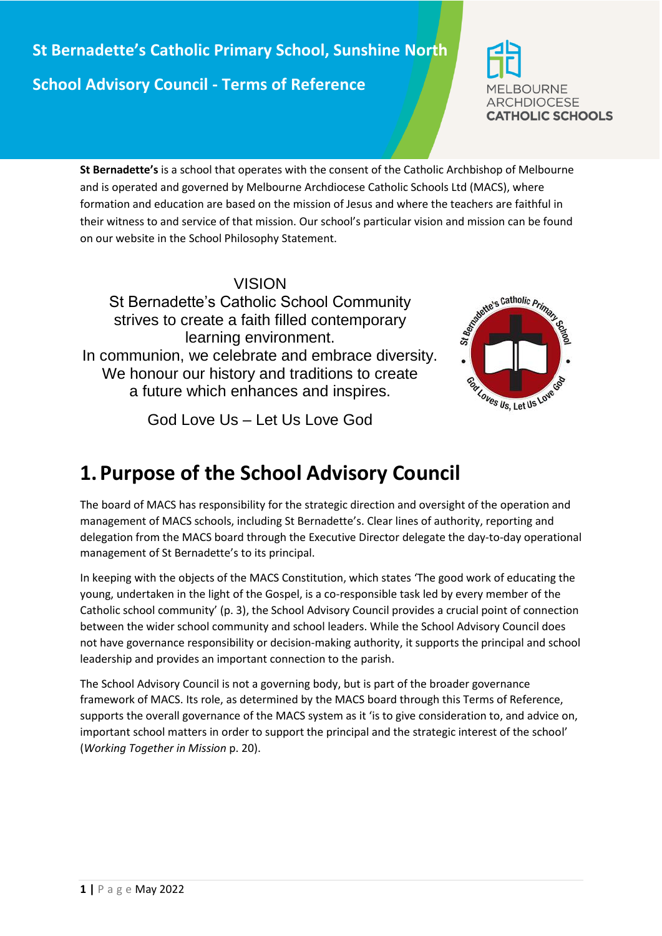

**St Bernadette's** is a school that operates with the consent of the Catholic Archbishop of Melbourne and is operated and governed by Melbourne Archdiocese Catholic Schools Ltd (MACS), where formation and education are based on the mission of Jesus and where the teachers are faithful in their witness to and service of that mission. Our school's particular vision and mission can be found on our website in the School Philosophy Statement.

## VISION

St Bernadette's Catholic School Community strives to create a faith filled contemporary learning environment. In communion, we celebrate and embrace diversity. We honour our history and traditions to create a future which enhances and inspires.

God Love Us – Let Us Love God



## **1.Purpose of the School Advisory Council**

The board of MACS has responsibility for the strategic direction and oversight of the operation and management of MACS schools, including St Bernadette's. Clear lines of authority, reporting and delegation from the MACS board through the Executive Director delegate the day-to-day operational management of St Bernadette's to its principal.

In keeping with the objects of the MACS Constitution, which states 'The good work of educating the young, undertaken in the light of the Gospel, is a co-responsible task led by every member of the Catholic school community' (p. 3), the School Advisory Council provides a crucial point of connection between the wider school community and school leaders. While the School Advisory Council does not have governance responsibility or decision-making authority, it supports the principal and school leadership and provides an important connection to the parish.

The School Advisory Council is not a governing body, but is part of the broader governance framework of MACS. Its role, as determined by the MACS board through this Terms of Reference, supports the overall governance of the MACS system as it 'is to give consideration to, and advice on, important school matters in order to support the principal and the strategic interest of the school' (*Working Together in Mission* p. 20).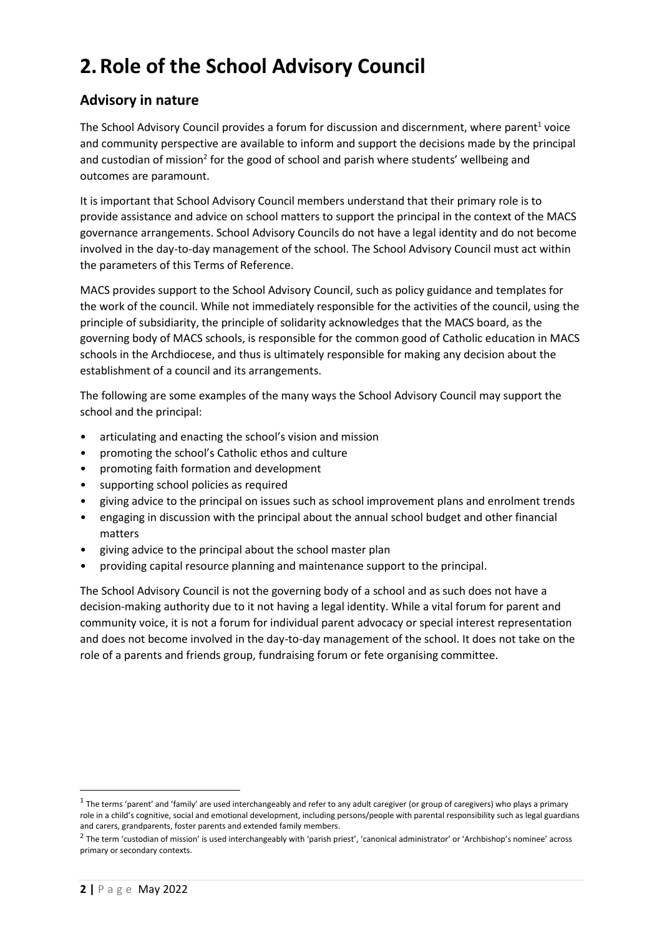# **2.Role of the School Advisory Council**

## **Advisory in nature**

The School Advisory Council provides a forum for discussion and discernment, where parent<sup>1</sup> voice and community perspective are available to inform and support the decisions made by the principal and custodian of mission<sup>2</sup> for the good of school and parish where students' wellbeing and outcomes are paramount.

It is important that School Advisory Council members understand that their primary role is to provide assistance and advice on school matters to support the principal in the context of the MACS governance arrangements. School Advisory Councils do not have a legal identity and do not become involved in the day-to-day management of the school. The School Advisory Council must act within the parameters of this Terms of Reference.

MACS provides support to the School Advisory Council, such as policy guidance and templates for the work of the council. While not immediately responsible for the activities of the council, using the principle of subsidiarity, the principle of solidarity acknowledges that the MACS board, as the governing body of MACS schools, is responsible for the common good of Catholic education in MACS schools in the Archdiocese, and thus is ultimately responsible for making any decision about the establishment of a council and its arrangements.

The following are some examples of the many ways the School Advisory Council may support the school and the principal:

- articulating and enacting the school's vision and mission
- promoting the school's Catholic ethos and culture
- promoting faith formation and development
- supporting school policies as required
- giving advice to the principal on issues such as school improvement plans and enrolment trends
- engaging in discussion with the principal about the annual school budget and other financial matters
- giving advice to the principal about the school master plan
- providing capital resource planning and maintenance support to the principal.

The School Advisory Council is not the governing body of a school and as such does not have a decision-making authority due to it not having a legal identity. While a vital forum for parent and community voice, it is not a forum for individual parent advocacy or special interest representation and does not become involved in the day-to-day management of the school. It does not take on the role of a parents and friends group, fundraising forum or fete organising committee.

**.** 

 $^1$  The terms 'parent' and 'family' are used interchangeably and refer to any adult caregiver (or group of caregivers) who plays a primary role in a child's cognitive, social and emotional development, including persons/people with parental responsibility such as legal guardians and carers, grandparents, foster parents and extended family members.

 $^2$  The term 'custodian of mission' is used interchangeably with 'parish priest', 'canonical administrator' or 'Archbishop's nominee' across primary or secondary contexts.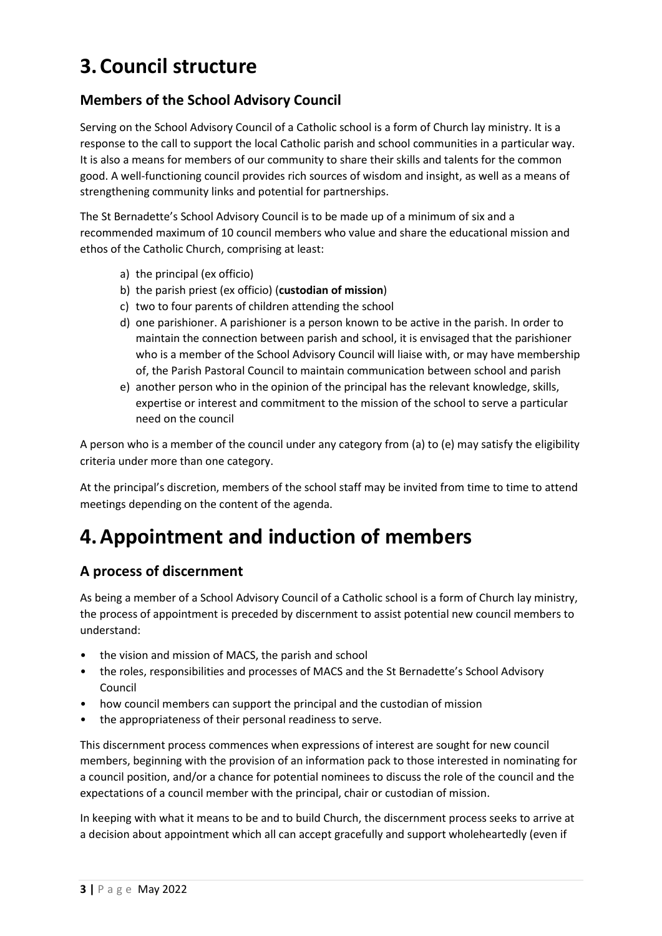## **3.Council structure**

## **Members of the School Advisory Council**

Serving on the School Advisory Council of a Catholic school is a form of Church lay ministry. It is a response to the call to support the local Catholic parish and school communities in a particular way. It is also a means for members of our community to share their skills and talents for the common good. A well-functioning council provides rich sources of wisdom and insight, as well as a means of strengthening community links and potential for partnerships.

The St Bernadette's School Advisory Council is to be made up of a minimum of six and a recommended maximum of 10 council members who value and share the educational mission and ethos of the Catholic Church, comprising at least:

- a) the principal (ex officio)
- b) the parish priest (ex officio) (**custodian of mission**)
- c) two to four parents of children attending the school
- d) one parishioner. A parishioner is a person known to be active in the parish. In order to maintain the connection between parish and school, it is envisaged that the parishioner who is a member of the School Advisory Council will liaise with, or may have membership of, the Parish Pastoral Council to maintain communication between school and parish
- e) another person who in the opinion of the principal has the relevant knowledge, skills, expertise or interest and commitment to the mission of the school to serve a particular need on the council

A person who is a member of the council under any category from (a) to (e) may satisfy the eligibility criteria under more than one category.

At the principal's discretion, members of the school staff may be invited from time to time to attend meetings depending on the content of the agenda.

# **4.Appointment and induction of members**

## **A process of discernment**

As being a member of a School Advisory Council of a Catholic school is a form of Church lay ministry, the process of appointment is preceded by discernment to assist potential new council members to understand:

- the vision and mission of MACS, the parish and school
- the roles, responsibilities and processes of MACS and the St Bernadette's School Advisory Council
- how council members can support the principal and the custodian of mission
- the appropriateness of their personal readiness to serve.

This discernment process commences when expressions of interest are sought for new council members, beginning with the provision of an information pack to those interested in nominating for a council position, and/or a chance for potential nominees to discuss the role of the council and the expectations of a council member with the principal, chair or custodian of mission.

In keeping with what it means to be and to build Church, the discernment process seeks to arrive at a decision about appointment which all can accept gracefully and support wholeheartedly (even if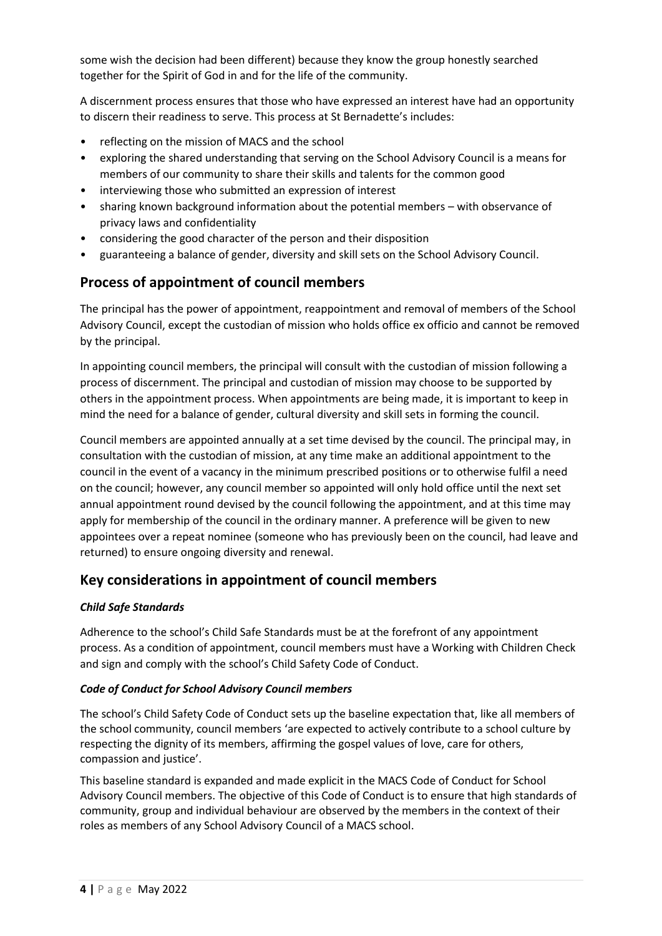some wish the decision had been different) because they know the group honestly searched together for the Spirit of God in and for the life of the community.

A discernment process ensures that those who have expressed an interest have had an opportunity to discern their readiness to serve. This process at St Bernadette's includes:

- reflecting on the mission of MACS and the school
- exploring the shared understanding that serving on the School Advisory Council is a means for members of our community to share their skills and talents for the common good
- interviewing those who submitted an expression of interest
- sharing known background information about the potential members with observance of privacy laws and confidentiality
- considering the good character of the person and their disposition
- guaranteeing a balance of gender, diversity and skill sets on the School Advisory Council.

## **Process of appointment of council members**

The principal has the power of appointment, reappointment and removal of members of the School Advisory Council, except the custodian of mission who holds office ex officio and cannot be removed by the principal.

In appointing council members, the principal will consult with the custodian of mission following a process of discernment. The principal and custodian of mission may choose to be supported by others in the appointment process. When appointments are being made, it is important to keep in mind the need for a balance of gender, cultural diversity and skill sets in forming the council.

Council members are appointed annually at a set time devised by the council. The principal may, in consultation with the custodian of mission, at any time make an additional appointment to the council in the event of a vacancy in the minimum prescribed positions or to otherwise fulfil a need on the council; however, any council member so appointed will only hold office until the next set annual appointment round devised by the council following the appointment, and at this time may apply for membership of the council in the ordinary manner. A preference will be given to new appointees over a repeat nominee (someone who has previously been on the council, had leave and returned) to ensure ongoing diversity and renewal.

## **Key considerations in appointment of council members**

#### *Child Safe Standards*

Adherence to the school's Child Safe Standards must be at the forefront of any appointment process. As a condition of appointment, council members must have a Working with Children Check and sign and comply with the school's Child Safety Code of Conduct.

#### *Code of Conduct for School Advisory Council members*

The school's Child Safety Code of Conduct sets up the baseline expectation that, like all members of the school community, council members 'are expected to actively contribute to a school culture by respecting the dignity of its members, affirming the gospel values of love, care for others, compassion and justice'.

This baseline standard is expanded and made explicit in the MACS Code of Conduct for School Advisory Council members. The objective of this Code of Conduct is to ensure that high standards of community, group and individual behaviour are observed by the members in the context of their roles as members of any School Advisory Council of a MACS school.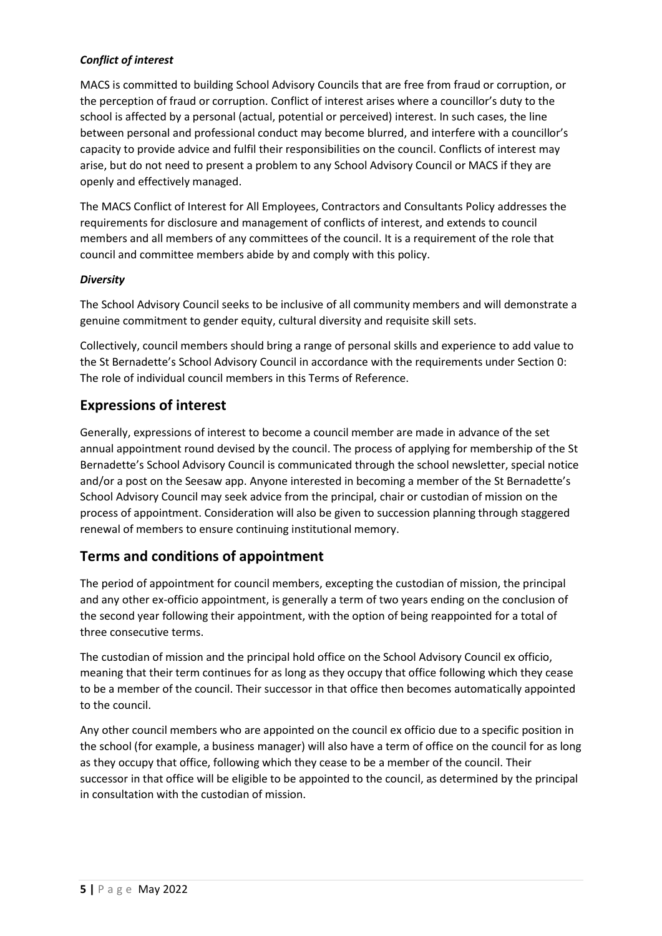### *Conflict of interest*

MACS is committed to building School Advisory Councils that are free from fraud or corruption, or the perception of fraud or corruption. Conflict of interest arises where a councillor's duty to the school is affected by a personal (actual, potential or perceived) interest. In such cases, the line between personal and professional conduct may become blurred, and interfere with a councillor's capacity to provide advice and fulfil their responsibilities on the council. Conflicts of interest may arise, but do not need to present a problem to any School Advisory Council or MACS if they are openly and effectively managed.

The MACS Conflict of Interest for All Employees, Contractors and Consultants Policy addresses the requirements for disclosure and management of conflicts of interest, and extends to council members and all members of any committees of the council. It is a requirement of the role that council and committee members abide by and comply with this policy.

#### *Diversity*

The School Advisory Council seeks to be inclusive of all community members and will demonstrate a genuine commitment to gender equity, cultural diversity and requisite skill sets.

Collectively, council members should bring a range of personal skills and experience to add value to the St Bernadette's School Advisory Council in accordance with the requirements under Section [0:](#page-5-0) The role of individual council members in this Terms of Reference.

### **Expressions of interest**

Generally, expressions of interest to become a council member are made in advance of the set annual appointment round devised by the council. The process of applying for membership of the St Bernadette's School Advisory Council is communicated through the school newsletter, special notice and/or a post on the Seesaw app. Anyone interested in becoming a member of the St Bernadette's School Advisory Council may seek advice from the principal, chair or custodian of mission on the process of appointment. Consideration will also be given to succession planning through staggered renewal of members to ensure continuing institutional memory.

## **Terms and conditions of appointment**

The period of appointment for council members, excepting the custodian of mission, the principal and any other ex-officio appointment, is generally a term of two years ending on the conclusion of the second year following their appointment, with the option of being reappointed for a total of three consecutive terms.

The custodian of mission and the principal hold office on the School Advisory Council ex officio, meaning that their term continues for as long as they occupy that office following which they cease to be a member of the council. Their successor in that office then becomes automatically appointed to the council.

Any other council members who are appointed on the council ex officio due to a specific position in the school (for example, a business manager) will also have a term of office on the council for as long as they occupy that office, following which they cease to be a member of the council. Their successor in that office will be eligible to be appointed to the council, as determined by the principal in consultation with the custodian of mission.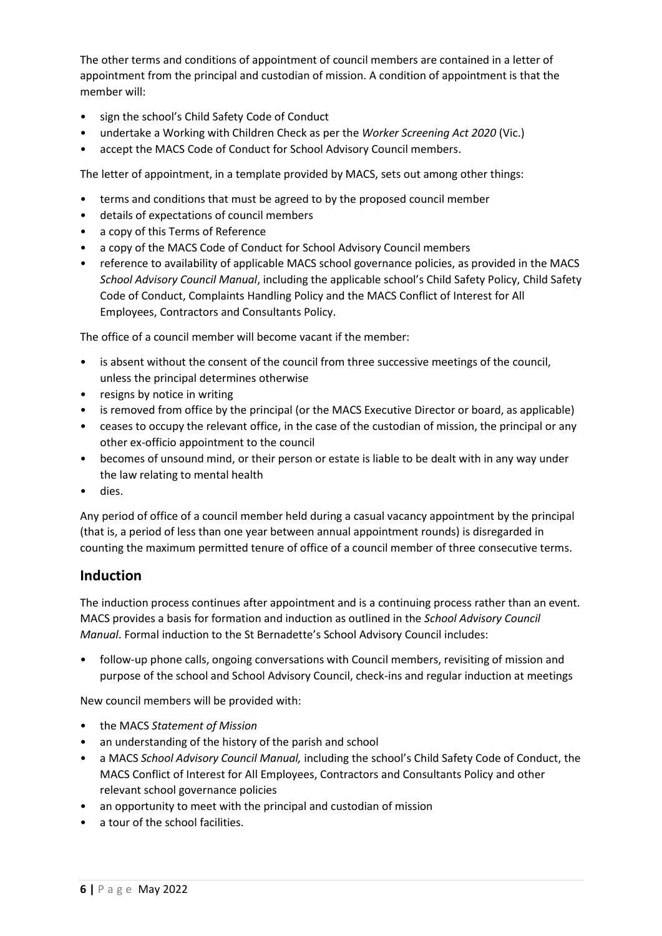The other terms and conditions of appointment of council members are contained in a letter of appointment from the principal and custodian of mission. A condition of appointment is that the member will:

- sign the school's Child Safety Code of Conduct
- undertake a Working with Children Check as per the *Worker Screening Act 2020* (Vic.)
- accept the MACS Code of Conduct for School Advisory Council members.

The letter of appointment, in a template provided by MACS, sets out among other things:

- terms and conditions that must be agreed to by the proposed council member
- details of expectations of council members
- a copy of this Terms of Reference
- a copy of the MACS Code of Conduct for School Advisory Council members
- reference to availability of applicable MACS school governance policies, as provided in the MACS *School Advisory Council Manual*, including the applicable school's Child Safety Policy, Child Safety Code of Conduct, Complaints Handling Policy and the MACS Conflict of Interest for All Employees, Contractors and Consultants Policy.

The office of a council member will become vacant if the member:

- is absent without the consent of the council from three successive meetings of the council, unless the principal determines otherwise
- resigns by notice in writing
- is removed from office by the principal (or the MACS Executive Director or board, as applicable)
- ceases to occupy the relevant office, in the case of the custodian of mission, the principal or any other ex-officio appointment to the council
- becomes of unsound mind, or their person or estate is liable to be dealt with in any way under the law relating to mental health
- dies.

Any period of office of a council member held during a casual vacancy appointment by the principal (that is, a period of less than one year between annual appointment rounds) is disregarded in counting the maximum permitted tenure of office of a council member of three consecutive terms.

### <span id="page-5-0"></span>**Induction**

The induction process continues after appointment and is a continuing process rather than an event. MACS provides a basis for formation and induction as outlined in the *School Advisory Council Manual*. Formal induction to the St Bernadette's School Advisory Council includes:

• follow-up phone calls, ongoing conversations with Council members, revisiting of mission and purpose of the school and School Advisory Council, check-ins and regular induction at meetings

New council members will be provided with:

- the MACS *Statement of Mission*
- an understanding of the history of the parish and school
- a MACS *School Advisory Council Manual,* including the school's Child Safety Code of Conduct, the MACS Conflict of Interest for All Employees, Contractors and Consultants Policy and other relevant school governance policies
- an opportunity to meet with the principal and custodian of mission
- a tour of the school facilities.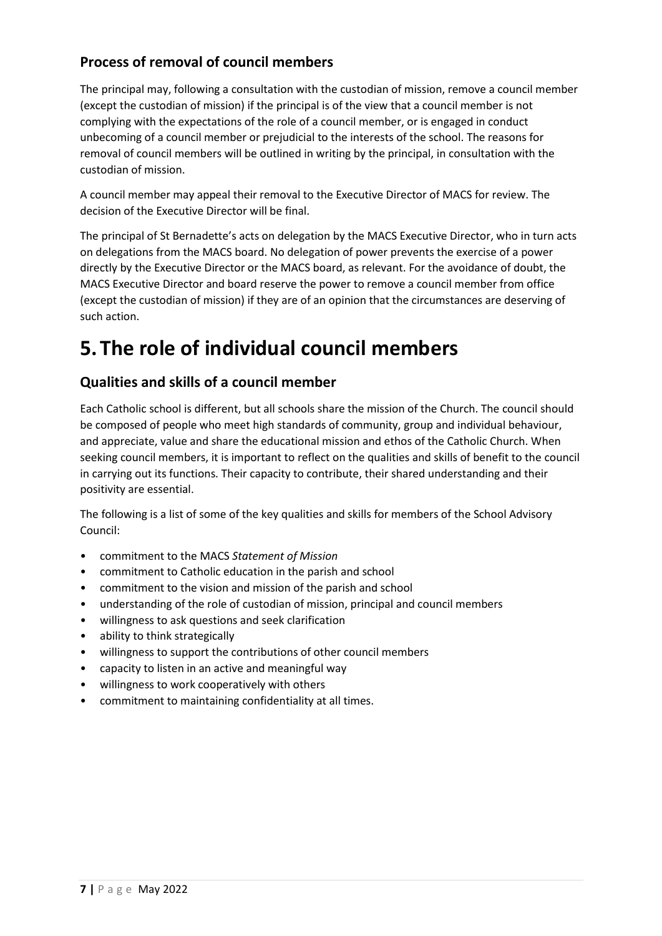## **Process of removal of council members**

The principal may, following a consultation with the custodian of mission, remove a council member (except the custodian of mission) if the principal is of the view that a council member is not complying with the expectations of the role of a council member, or is engaged in conduct unbecoming of a council member or prejudicial to the interests of the school. The reasons for removal of council members will be outlined in writing by the principal, in consultation with the custodian of mission.

A council member may appeal their removal to the Executive Director of MACS for review. The decision of the Executive Director will be final.

The principal of St Bernadette's acts on delegation by the MACS Executive Director, who in turn acts on delegations from the MACS board. No delegation of power prevents the exercise of a power directly by the Executive Director or the MACS board, as relevant. For the avoidance of doubt, the MACS Executive Director and board reserve the power to remove a council member from office (except the custodian of mission) if they are of an opinion that the circumstances are deserving of such action.

# **5.The role of individual council members**

## **Qualities and skills of a council member**

Each Catholic school is different, but all schools share the mission of the Church. The council should be composed of people who meet high standards of community, group and individual behaviour, and appreciate, value and share the educational mission and ethos of the Catholic Church. When seeking council members, it is important to reflect on the qualities and skills of benefit to the council in carrying out its functions. Their capacity to contribute, their shared understanding and their positivity are essential.

The following is a list of some of the key qualities and skills for members of the School Advisory Council:

- commitment to the MACS *Statement of Mission*
- commitment to Catholic education in the parish and school
- commitment to the vision and mission of the parish and school
- understanding of the role of custodian of mission, principal and council members
- willingness to ask questions and seek clarification
- ability to think strategically
- willingness to support the contributions of other council members
- capacity to listen in an active and meaningful way
- willingness to work cooperatively with others
- commitment to maintaining confidentiality at all times.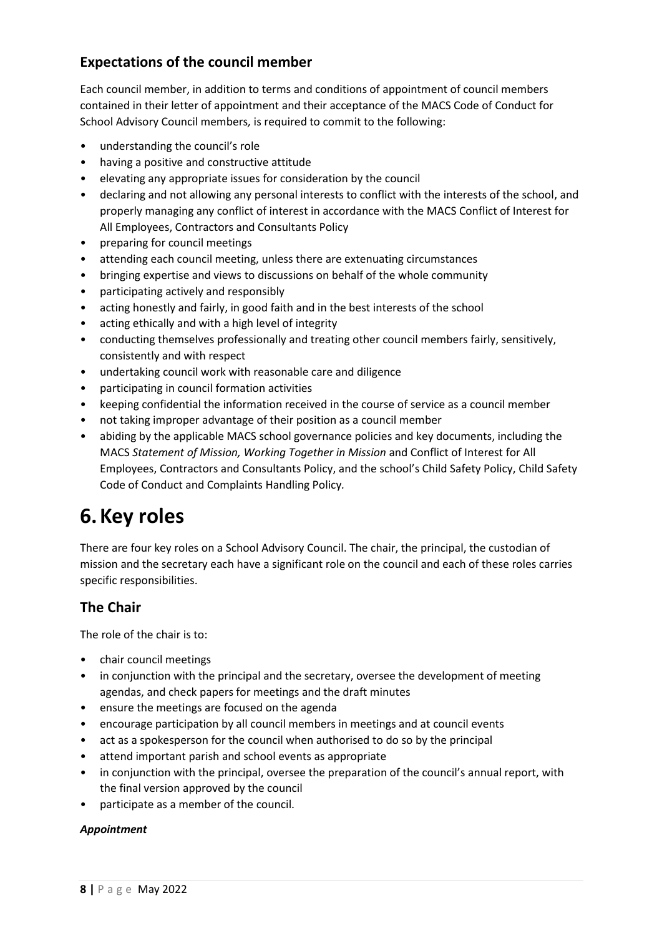## **Expectations of the council member**

Each council member, in addition to terms and conditions of appointment of council members contained in their letter of appointment and their acceptance of the MACS Code of Conduct for School Advisory Council members*,* is required to commit to the following:

- understanding the council's role
- having a positive and constructive attitude
- elevating any appropriate issues for consideration by the council
- declaring and not allowing any personal interests to conflict with the interests of the school, and properly managing any conflict of interest in accordance with the MACS Conflict of Interest for All Employees, Contractors and Consultants Policy
- preparing for council meetings
- attending each council meeting, unless there are extenuating circumstances
- bringing expertise and views to discussions on behalf of the whole community
- participating actively and responsibly
- acting honestly and fairly, in good faith and in the best interests of the school
- acting ethically and with a high level of integrity
- conducting themselves professionally and treating other council members fairly, sensitively, consistently and with respect
- undertaking council work with reasonable care and diligence
- participating in council formation activities
- keeping confidential the information received in the course of service as a council member
- not taking improper advantage of their position as a council member
- abiding by the applicable MACS school governance policies and key documents, including the MACS *Statement of Mission, Working Together in Mission* and Conflict of Interest for All Employees, Contractors and Consultants Policy, and the school's Child Safety Policy, Child Safety Code of Conduct and Complaints Handling Policy*.*

## **6.Key roles**

There are four key roles on a School Advisory Council. The chair, the principal, the custodian of mission and the secretary each have a significant role on the council and each of these roles carries specific responsibilities.

## **The Chair**

The role of the chair is to:

- chair council meetings
- in conjunction with the principal and the secretary, oversee the development of meeting agendas, and check papers for meetings and the draft minutes
- ensure the meetings are focused on the agenda
- encourage participation by all council members in meetings and at council events
- act as a spokesperson for the council when authorised to do so by the principal
- attend important parish and school events as appropriate
- in conjunction with the principal, oversee the preparation of the council's annual report, with the final version approved by the council
- participate as a member of the council.

#### *Appointment*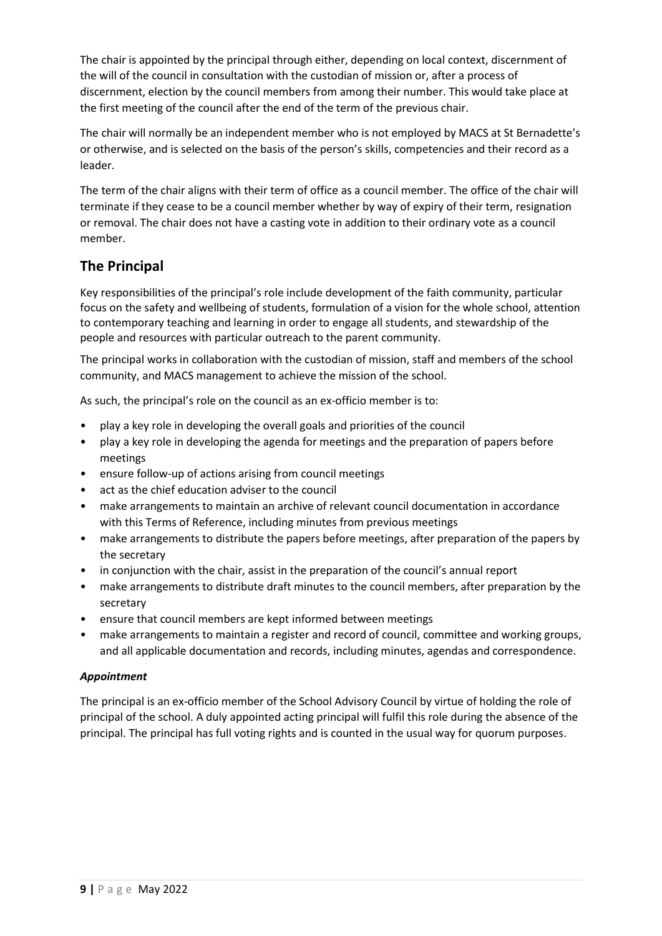The chair is appointed by the principal through either, depending on local context, discernment of the will of the council in consultation with the custodian of mission or, after a process of discernment, election by the council members from among their number. This would take place at the first meeting of the council after the end of the term of the previous chair.

The chair will normally be an independent member who is not employed by MACS at St Bernadette's or otherwise, and is selected on the basis of the person's skills, competencies and their record as a leader.

The term of the chair aligns with their term of office as a council member. The office of the chair will terminate if they cease to be a council member whether by way of expiry of their term, resignation or removal. The chair does not have a casting vote in addition to their ordinary vote as a council member.

## **The Principal**

Key responsibilities of the principal's role include development of the faith community, particular focus on the safety and wellbeing of students, formulation of a vision for the whole school, attention to contemporary teaching and learning in order to engage all students, and stewardship of the people and resources with particular outreach to the parent community.

The principal works in collaboration with the custodian of mission, staff and members of the school community, and MACS management to achieve the mission of the school.

As such, the principal's role on the council as an ex-officio member is to:

- play a key role in developing the overall goals and priorities of the council
- play a key role in developing the agenda for meetings and the preparation of papers before meetings
- ensure follow-up of actions arising from council meetings
- act as the chief education adviser to the council
- make arrangements to maintain an archive of relevant council documentation in accordance with this Terms of Reference, including minutes from previous meetings
- make arrangements to distribute the papers before meetings, after preparation of the papers by the secretary
- in conjunction with the chair, assist in the preparation of the council's annual report
- make arrangements to distribute draft minutes to the council members, after preparation by the secretary
- ensure that council members are kept informed between meetings
- make arrangements to maintain a register and record of council, committee and working groups, and all applicable documentation and records, including minutes, agendas and correspondence.

#### *Appointment*

The principal is an ex-officio member of the School Advisory Council by virtue of holding the role of principal of the school. A duly appointed acting principal will fulfil this role during the absence of the principal. The principal has full voting rights and is counted in the usual way for quorum purposes.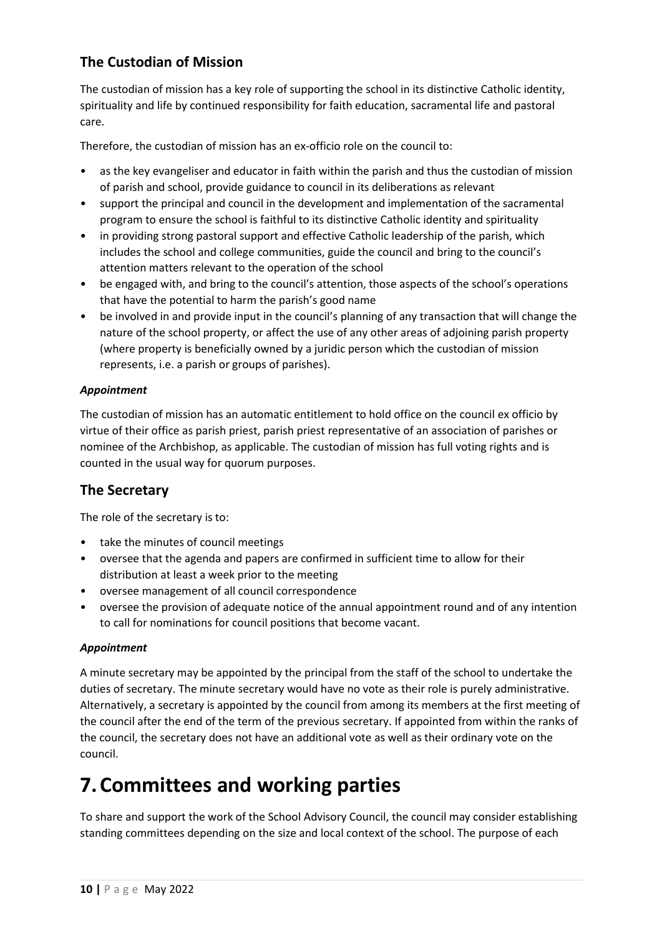## **The Custodian of Mission**

The custodian of mission has a key role of supporting the school in its distinctive Catholic identity, spirituality and life by continued responsibility for faith education, sacramental life and pastoral care.

Therefore, the custodian of mission has an ex-officio role on the council to:

- as the key evangeliser and educator in faith within the parish and thus the custodian of mission of parish and school, provide guidance to council in its deliberations as relevant
- support the principal and council in the development and implementation of the sacramental program to ensure the school is faithful to its distinctive Catholic identity and spirituality
- in providing strong pastoral support and effective Catholic leadership of the parish, which includes the school and college communities, guide the council and bring to the council's attention matters relevant to the operation of the school
- be engaged with, and bring to the council's attention, those aspects of the school's operations that have the potential to harm the parish's good name
- be involved in and provide input in the council's planning of any transaction that will change the nature of the school property, or affect the use of any other areas of adjoining parish property (where property is beneficially owned by a juridic person which the custodian of mission represents, i.e. a parish or groups of parishes).

### *Appointment*

The custodian of mission has an automatic entitlement to hold office on the council ex officio by virtue of their office as parish priest, parish priest representative of an association of parishes or nominee of the Archbishop, as applicable. The custodian of mission has full voting rights and is counted in the usual way for quorum purposes.

## **The Secretary**

The role of the secretary is to:

- take the minutes of council meetings
- oversee that the agenda and papers are confirmed in sufficient time to allow for their distribution at least a week prior to the meeting
- oversee management of all council correspondence
- oversee the provision of adequate notice of the annual appointment round and of any intention to call for nominations for council positions that become vacant.

#### *Appointment*

A minute secretary may be appointed by the principal from the staff of the school to undertake the duties of secretary. The minute secretary would have no vote as their role is purely administrative. Alternatively, a secretary is appointed by the council from among its members at the first meeting of the council after the end of the term of the previous secretary. If appointed from within the ranks of the council, the secretary does not have an additional vote as well as their ordinary vote on the council.

## **7.Committees and working parties**

To share and support the work of the School Advisory Council, the council may consider establishing standing committees depending on the size and local context of the school. The purpose of each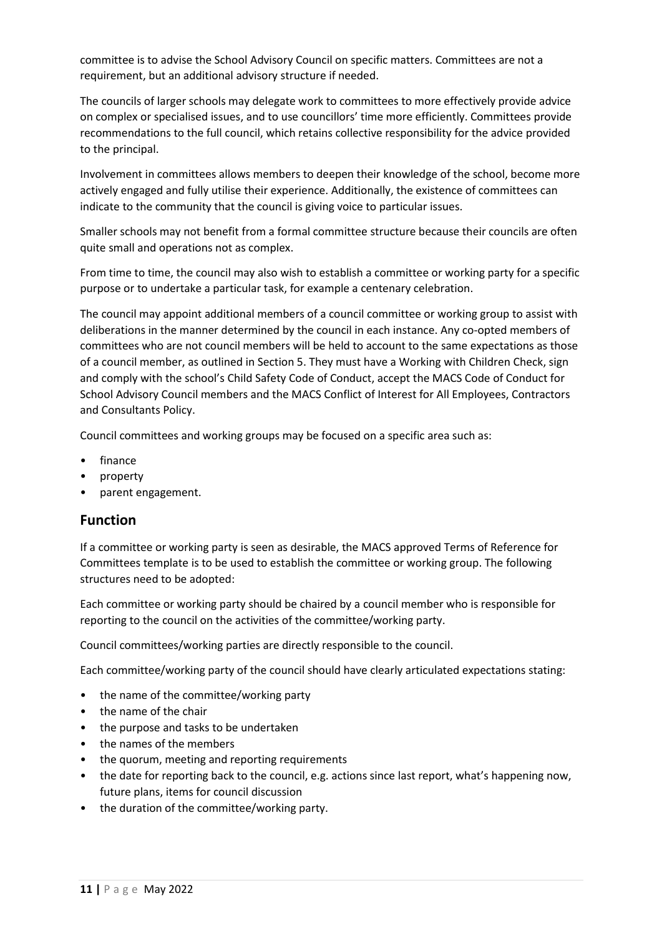committee is to advise the School Advisory Council on specific matters. Committees are not a requirement, but an additional advisory structure if needed.

The councils of larger schools may delegate work to committees to more effectively provide advice on complex or specialised issues, and to use councillors' time more efficiently. Committees provide recommendations to the full council, which retains collective responsibility for the advice provided to the principal.

Involvement in committees allows members to deepen their knowledge of the school, become more actively engaged and fully utilise their experience. Additionally, the existence of committees can indicate to the community that the council is giving voice to particular issues.

Smaller schools may not benefit from a formal committee structure because their councils are often quite small and operations not as complex.

From time to time, the council may also wish to establish a committee or working party for a specific purpose or to undertake a particular task, for example a centenary celebration.

The council may appoint additional members of a council committee or working group to assist with deliberations in the manner determined by the council in each instance. Any co-opted members of committees who are not council members will be held to account to the same expectations as those of a council member, as outlined in Section 5. They must have a Working with Children Check, sign and comply with the school's Child Safety Code of Conduct, accept the MACS Code of Conduct for School Advisory Council members and the MACS Conflict of Interest for All Employees, Contractors and Consultants Policy.

Council committees and working groups may be focused on a specific area such as:

- finance
- property
- parent engagement.

### **Function**

If a committee or working party is seen as desirable, the MACS approved Terms of Reference for Committees template is to be used to establish the committee or working group. The following structures need to be adopted:

Each committee or working party should be chaired by a council member who is responsible for reporting to the council on the activities of the committee/working party.

Council committees/working parties are directly responsible to the council.

Each committee/working party of the council should have clearly articulated expectations stating:

- the name of the committee/working party
- the name of the chair
- the purpose and tasks to be undertaken
- the names of the members
- the quorum, meeting and reporting requirements
- the date for reporting back to the council, e.g. actions since last report, what's happening now, future plans, items for council discussion
- the duration of the committee/working party.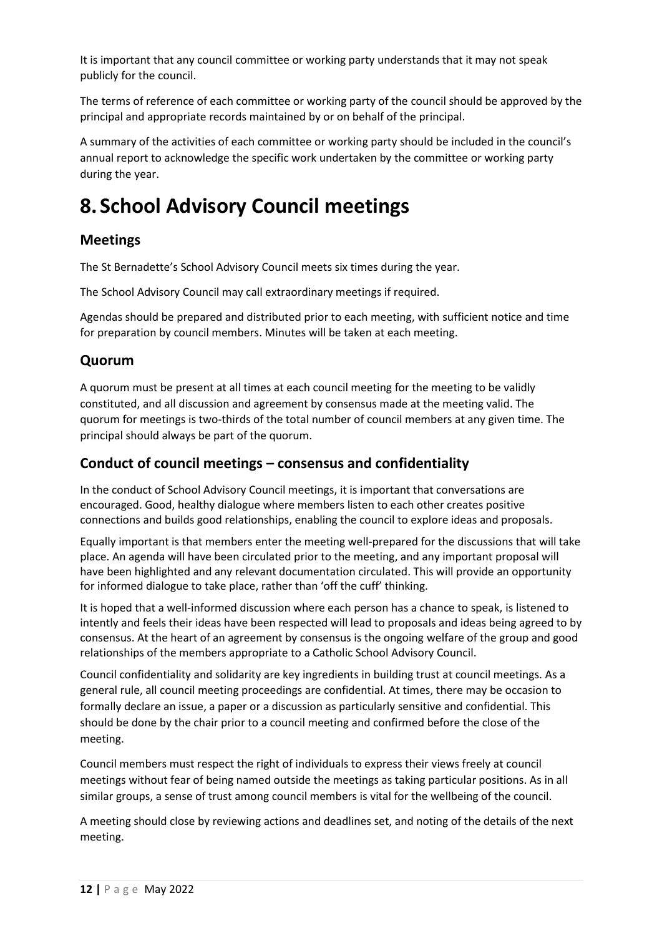It is important that any council committee or working party understands that it may not speak publicly for the council.

The terms of reference of each committee or working party of the council should be approved by the principal and appropriate records maintained by or on behalf of the principal.

A summary of the activities of each committee or working party should be included in the council's annual report to acknowledge the specific work undertaken by the committee or working party during the year.

## **8. School Advisory Council meetings**

### **Meetings**

The St Bernadette's School Advisory Council meets six times during the year.

The School Advisory Council may call extraordinary meetings if required.

Agendas should be prepared and distributed prior to each meeting, with sufficient notice and time for preparation by council members. Minutes will be taken at each meeting.

### **Quorum**

A quorum must be present at all times at each council meeting for the meeting to be validly constituted, and all discussion and agreement by consensus made at the meeting valid. The quorum for meetings is two-thirds of the total number of council members at any given time. The principal should always be part of the quorum.

### **Conduct of council meetings – consensus and confidentiality**

In the conduct of School Advisory Council meetings, it is important that conversations are encouraged. Good, healthy dialogue where members listen to each other creates positive connections and builds good relationships, enabling the council to explore ideas and proposals.

Equally important is that members enter the meeting well-prepared for the discussions that will take place. An agenda will have been circulated prior to the meeting, and any important proposal will have been highlighted and any relevant documentation circulated. This will provide an opportunity for informed dialogue to take place, rather than 'off the cuff' thinking.

It is hoped that a well-informed discussion where each person has a chance to speak, is listened to intently and feels their ideas have been respected will lead to proposals and ideas being agreed to by consensus. At the heart of an agreement by consensus is the ongoing welfare of the group and good relationships of the members appropriate to a Catholic School Advisory Council.

Council confidentiality and solidarity are key ingredients in building trust at council meetings. As a general rule, all council meeting proceedings are confidential. At times, there may be occasion to formally declare an issue, a paper or a discussion as particularly sensitive and confidential. This should be done by the chair prior to a council meeting and confirmed before the close of the meeting.

Council members must respect the right of individuals to express their views freely at council meetings without fear of being named outside the meetings as taking particular positions. As in all similar groups, a sense of trust among council members is vital for the wellbeing of the council.

A meeting should close by reviewing actions and deadlines set, and noting of the details of the next meeting.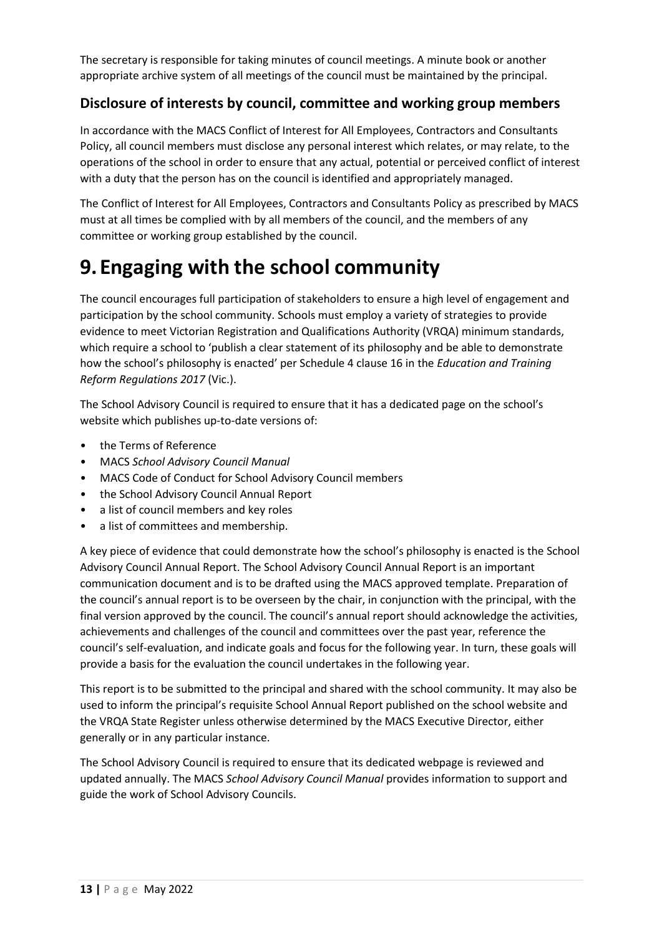The secretary is responsible for taking minutes of council meetings. A minute book or another appropriate archive system of all meetings of the council must be maintained by the principal.

### **Disclosure of interests by council, committee and working group members**

In accordance with the MACS Conflict of Interest for All Employees, Contractors and Consultants Policy, all council members must disclose any personal interest which relates, or may relate, to the operations of the school in order to ensure that any actual, potential or perceived conflict of interest with a duty that the person has on the council is identified and appropriately managed.

The Conflict of Interest for All Employees, Contractors and Consultants Policy as prescribed by MACS must at all times be complied with by all members of the council, and the members of any committee or working group established by the council.

# **9. Engaging with the school community**

The council encourages full participation of stakeholders to ensure a high level of engagement and participation by the school community. Schools must employ a variety of strategies to provide evidence to meet Victorian Registration and Qualifications Authority (VRQA) minimum standards, which require a school to 'publish a clear statement of its philosophy and be able to demonstrate how the school's philosophy is enacted' per Schedule 4 clause 16 in the *Education and Training Reform Regulations 2017* (Vic.).

The School Advisory Council is required to ensure that it has a dedicated page on the school's website which publishes up-to-date versions of:

- the Terms of Reference
- MACS *School Advisory Council Manual*
- MACS Code of Conduct for School Advisory Council members
- the School Advisory Council Annual Report
- a list of council members and key roles
- a list of committees and membership.

A key piece of evidence that could demonstrate how the school's philosophy is enacted is the School Advisory Council Annual Report. The School Advisory Council Annual Report is an important communication document and is to be drafted using the MACS approved template. Preparation of the council's annual report is to be overseen by the chair, in conjunction with the principal, with the final version approved by the council. The council's annual report should acknowledge the activities, achievements and challenges of the council and committees over the past year, reference the council's self-evaluation, and indicate goals and focus for the following year. In turn, these goals will provide a basis for the evaluation the council undertakes in the following year.

This report is to be submitted to the principal and shared with the school community. It may also be used to inform the principal's requisite School Annual Report published on the school website and the VRQA State Register unless otherwise determined by the MACS Executive Director, either generally or in any particular instance.

The School Advisory Council is required to ensure that its dedicated webpage is reviewed and updated annually. The MACS *School Advisory Council Manual* provides information to support and guide the work of School Advisory Councils.